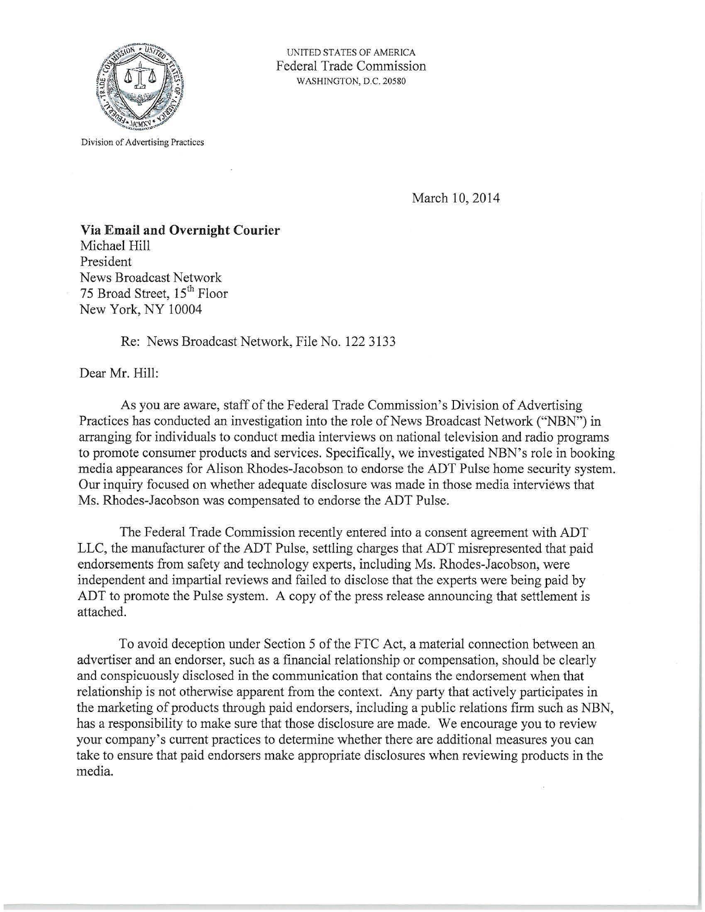

Division of Advertising Practices

UNITED STATES OF AMERICA Federal Trade Commission WASHINGTON, D.C. 20580

March 10, 2014

**Via Email and Overnight Courier**  Michael Hill President News Broadcast Network 75 Broad Street, 15<sup>th</sup> Floor New York, NY 10004

Re: News Broadcast Network, File No. 122 3133

Dear Mr. Hill:

As you are aware, staff of the Federal Trade Commission's Division of Advertising Practices has conducted an investigation into the role of News Broadcast Network ("NBN") in arranging for individuals to conduct media interviews on national television and radio programs to promote consumer products and services. Specifically, we investigated NBN's role in booking media appearances for Alison Rhodes-Jacobson to endorse the ADT Pulse home security system. Our inquiry focused on whether adequate disclosure was made in those media interviews that Ms. Rhodes-Jacobson was compensated to endorse the ADT Pulse.

The Federal Trade Commission recently entered into a consent agreement with ADT LLC, the manufacturer of the ADT Pulse, settling charges that ADT misrepresented that paid endorsements from safety and technology experts, including Ms. Rhodes-Jacobson, were independent and impartial reviews and failed to disclose that the experts were being paid by ADT to promote the Pulse system. A copy of the press release announcing that settlement is attached.

To avoid deception under Section 5 of the FTC Act, a material connection between an advertiser and an endorser, such as a financial relationship or compensation, should be clearly and conspicuously disclosed in the communication that contains the endorsement when that relationship is not otherwise apparent from the context. Any party that actively participates in the marketing of products through paid endorsers, including a public relations firm such as NBN, has a responsibility to make sure that those disclosure are made. We encourage you to review your company's current practices to determine whether there are additional measures you can take to ensure that paid endorsers make appropriate disclosures when reviewing products in the media.